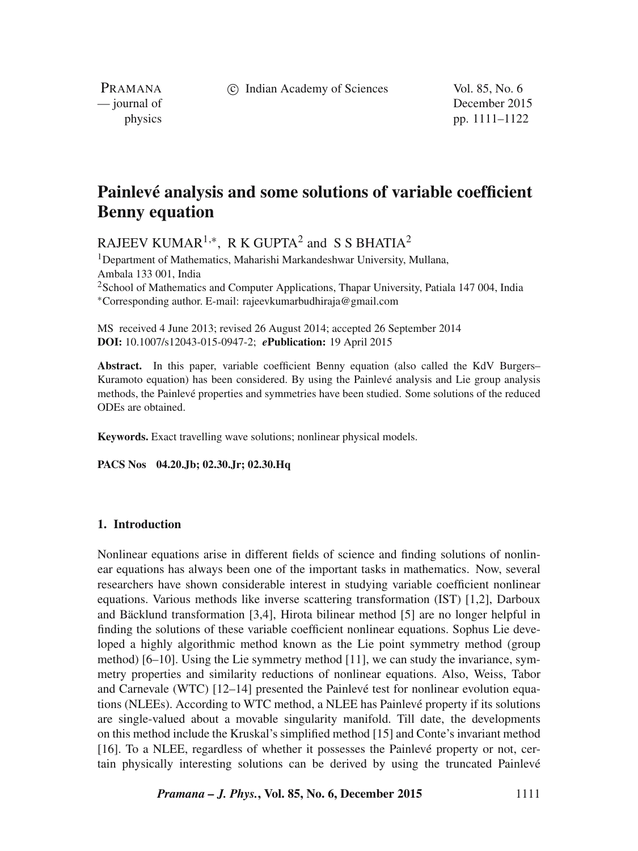c Indian Academy of Sciences Vol. 85, No. 6

PRAMANA<br>
— journal of

December 2015 physics pp. 1111–1122

# **Painlevé analysis and some solutions of variable coefficient Benny equation**

RAJEEV KUMAR<sup>1,\*</sup>, R K GUPTA<sup>2</sup> and S S BHATIA<sup>2</sup>

<sup>1</sup>Department of Mathematics, Maharishi Markandeshwar University, Mullana, Ambala 133 001, India <sup>2</sup> School of Mathematics and Computer Applications, Thapar University, Patiala 147 004, India ∗Corresponding author. E-mail: rajeevkumarbudhiraja@gmail.com

MS received 4 June 2013; revised 26 August 2014; accepted 26 September 2014 **DOI:** 10.1007/s12043-015-0947-2; *e***Publication:** 19 April 2015

Abstract. In this paper, variable coefficient Benny equation (also called the KdV Burgers– Kuramoto equation) has been considered. By using the Painlevé analysis and Lie group analysis methods, the Painlevé properties and symmetries have been studied. Some solutions of the reduced ODEs are obtained.

**Keywords.** Exact travelling wave solutions; nonlinear physical models.

**PACS Nos 04.20.Jb; 02.30.Jr; 02.30.Hq**

## **1. Introduction**

Nonlinear equations arise in different fields of science and finding solutions of nonlinear equations has always been one of the important tasks in mathematics. Now, several researchers have shown considerable interest in studying variable coefficient nonlinear equations. Various methods like inverse scattering transformation (IST) [1,2], Darboux and Bäcklund transformation [3,4], Hirota bilinear method [5] are no longer helpful in finding the solutions of these variable coefficient nonlinear equations. Sophus Lie developed a highly algorithmic method known as the Lie point symmetry method (group method)  $[6–10]$ . Using the Lie symmetry method  $[11]$ , we can study the invariance, symmetry properties and similarity reductions of nonlinear equations. Also, Weiss, Tabor and Carnevale (WTC) [12–14] presented the Painlevé test for nonlinear evolution equations (NLEEs). According to WTC method, a NLEE has Painlevé property if its solutions are single-valued about a movable singularity manifold. Till date, the developments on this method include the Kruskal's simplified method [15] and Conte's invariant method [16]. To a NLEE, regardless of whether it possesses the Painlevé property or not, certain physically interesting solutions can be derived by using the truncated Painlevé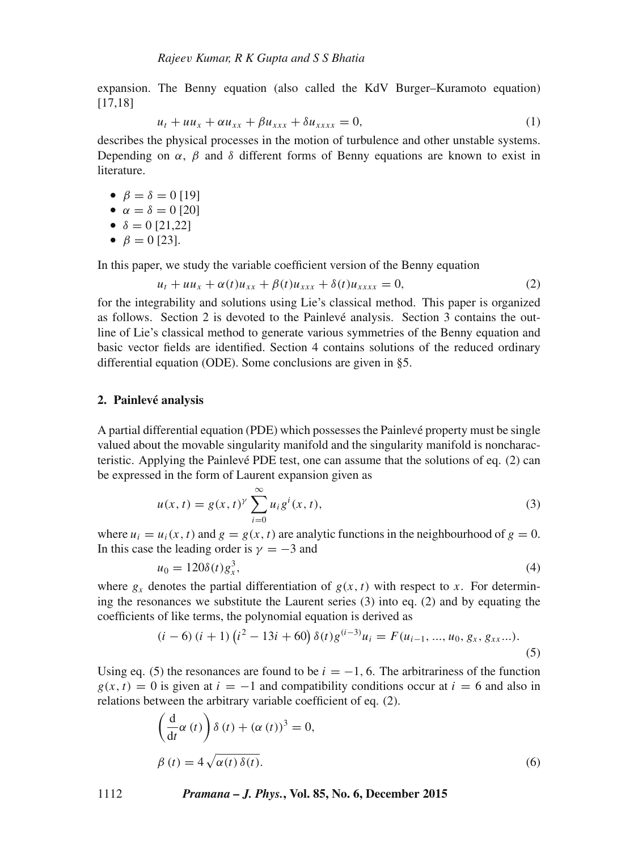expansion. The Benny equation (also called the KdV Burger–Kuramoto equation) [17,18]

$$
u_t + uu_x + \alpha u_{xx} + \beta u_{xxx} + \delta u_{xxxx} = 0, \qquad (1)
$$

 $u_t + uu_x + \alpha u_{xx} + \beta u_{xxx} + \delta u_{xxxx} = 0,$  (1)<br>describes the physical processes in the motion of turbulence and other unstable systems. Depending on  $\alpha$ ,  $\beta$  and  $\delta$  different forms of Benny equations are known to exist in literature.

•  $\beta = \delta = 0$  [19]

\n- $$
\alpha = \delta = 0
$$
 [20]
\n- $\delta = 0$  [21 22]
\n

• 
$$
\delta = 0
$$
 [21,22]  
•  $\beta = 0$  [23]

•  $\beta = 0$  [23].

In this paper, we study the variable coefficient version of the Benny equation

$$
u_t + uu_x + \alpha(t)u_{xx} + \beta(t)u_{xxx} + \delta(t)u_{xxxx} = 0, \qquad (2)
$$

 $u_t + uu_x + \alpha(t)u_{xx} + \beta(t)u_{xxx} + \delta(t)u_{xxxx} = 0,$  (2)<br>for the integrability and solutions using Lie's classical method. This paper is organized as follows. Section 2 is devoted to the Painlevé analysis. Section 3 contains the outline of Lie's classical method to generate various symmetries of the Benny equation and basic vector fields are identified. Section 4 contains solutions of the reduced ordinary differential equation (ODE). Some conclusions are given in §5.

#### **2. Painlevé analysis**

A partial differential equation (PDE) which possesses the Painlevé property must be single valued about the movable singularity manifold and the singularity manifold is noncharacteristic. Applying the Painlevé PDE test, one can assume that the solutions of eq. (2) can be expressed in the form of Laurent expansion given as

$$
u(x,t) = g(x,t)^{\gamma} \sum_{i=0}^{\infty} u_i g^i(x,t),
$$
\n(3)

where  $u_i = u_i(x, t)$  and  $g = g(x, t)$  are analytic functions in the neighbourhood of  $g = 0$ .<br>In this case the leading order is  $y = -3$  and In this case the leading order is  $\gamma = -3$  and

$$
u_0 = 120\delta(t)g_s^3,
$$
\n(4)

where  $g_x$  denotes the partial differentiation of  $g(x, t)$  with respect to x. For determin-<br>ing the resonances we substitute the Laurent series (3) into eq. (2) and by equating the ing the resonances we substitute the Laurent series (3) into eq. (2) and by equating the coefficients of like terms, the polynomial equation is derived as

$$
(i-6)(i+1)(i^2-13i+60)\delta(t)g^{(i-3)}u_i = F(u_{i-1},...,u_0,g_x,g_{xx}...).
$$
\n(5)

Using eq. (5) the resonances are found to be  $i = -1$ , 6. The arbitrariness of the function  $g(x, t) = 0$  is given at  $i = -1$  and compatibility conditions occur at  $i = 6$  and also in relations between the arbitrary variable coefficient of eq. (2).

$$
\left(\frac{d}{dt}\alpha(t)\right)\delta(t) + (\alpha(t))^3 = 0,
$$
  

$$
\beta(t) = 4\sqrt{\alpha(t)\delta(t)}.
$$
 (6)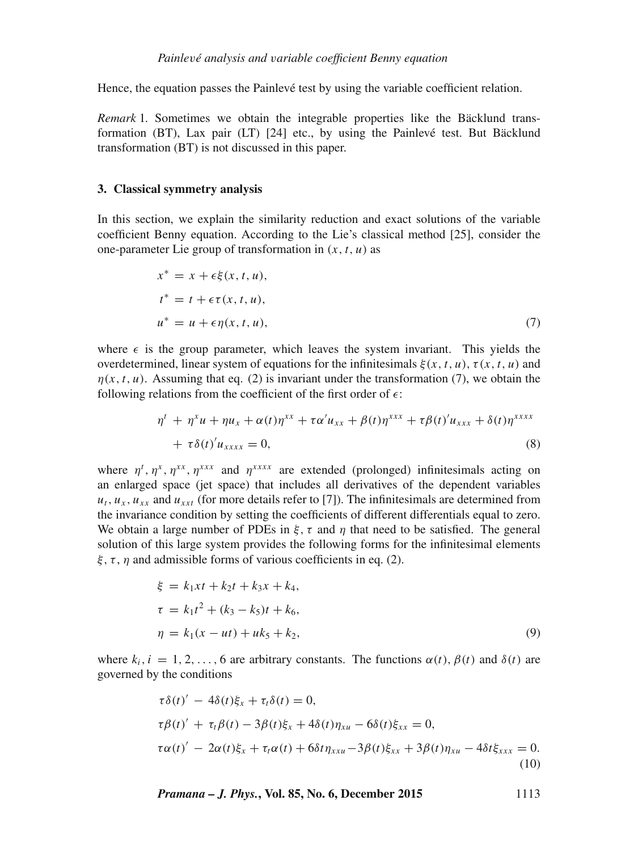Hence, the equation passes the Painlevé test by using the variable coefficient relation.

*Remark* 1*.* Sometimes we obtain the integrable properties like the Bäcklund transformation (BT), Lax pair (LT) [24] etc., by using the Painlevé test. But Bäcklund transformation (BT) is not discussed in this paper.

#### **3. Classical symmetry analysis**

In this section, we explain the similarity reduction and exact solutions of the variable coefficient Benny equation. According to the Lie's classical method [25], consider the one-parameter Lie group of transformation in  $(x, t, u)$  as

$$
x^* = x + \epsilon \xi(x, t, u),
$$
  
\n
$$
t^* = t + \epsilon \tau(x, t, u),
$$
  
\n
$$
u^* = u + \epsilon \eta(x, t, u),
$$
\n(7)

where  $\epsilon$  is the group parameter, which leaves the system invariant. This yields the overdetermined, linear system of equations for the infinitesimals  $\xi(x, t, u)$ ,  $\tau(x, t, u)$  and  $\eta(x, t, u)$ . Assuming that eq. (2) is invariant under the transformation (7), we obtain the following relations from the coefficient of the first order of  $\epsilon$ :

$$
\eta^{t} + \eta^{x} u + \eta u_{x} + \alpha(t) \eta^{xx} + \tau \alpha' u_{xx} + \beta(t) \eta^{xxx} + \tau \beta(t)' u_{xxx} + \delta(t) \eta^{xxxx} \n+ \tau \delta(t)' u_{xxxx} = 0,
$$
\n(8)

where  $\eta^t$ ,  $\eta^x$ ,  $\eta^{xx}$ ,  $\eta^{xxx}$  and  $\eta^{xxxx}$  are extended (prolonged) infinitesimals acting on enlarged space (jet space) that includes all derivatives of the dependent variables an enlarged space (jet space) that includes all derivatives of the dependent variables  $u_t$ ,  $u_x$ ,  $u_{xx}$  and  $u_{xxt}$  (for more details refer to [7]). The infinitesimals are determined from the invariance condition by setting the coefficients of different differentials equal to zero. We obtain a large number of PDEs in  $\xi$ ,  $\tau$  and  $\eta$  that need to be satisfied. The general solution of this large system provides the following forms for the infinitesimal elements  $\xi, \tau, \eta$  and admissible forms of various coefficients in eq. (2).

$$
\xi = k_1xt + k_2t + k_3x + k_4,\n\tau = k_1t^2 + (k_3 - k_5)t + k_6,\n\eta = k_1(x - ut) + uk_5 + k_2,
$$
\n(9)

where  $k_i$ ,  $i = 1, 2, ..., 6$  are arbitrary constants. The functions  $\alpha(t)$ ,  $\beta(t)$  and  $\delta(t)$  are governed by the conditions

$$
\tau \delta(t)' - 4\delta(t)\xi_x + \tau_t \delta(t) = 0,
$$
  
\n
$$
\tau \beta(t)' + \tau_t \beta(t) - 3\beta(t)\xi_x + 4\delta(t)\eta_{xu} - 6\delta(t)\xi_{xx} = 0,
$$
  
\n
$$
\tau \alpha(t)' - 2\alpha(t)\xi_x + \tau_t \alpha(t) + 6\delta t \eta_{xxu} - 3\beta(t)\xi_{xx} + 3\beta(t)\eta_{xu} - 4\delta t \xi_{xxx} = 0.
$$
  
\n(10)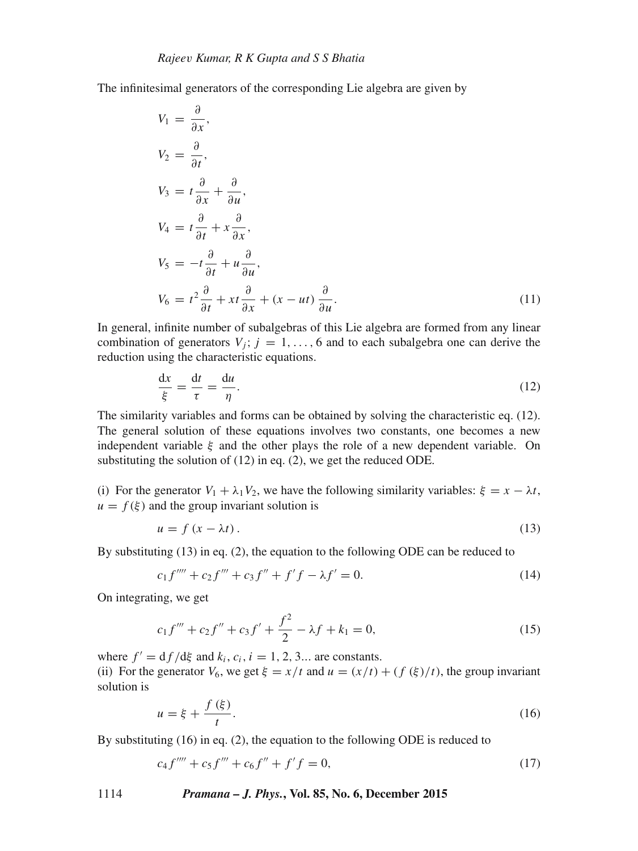The infinitesimal generators of the corresponding Lie algebra are given by

$$
V_1 = \frac{\partial}{\partial x},
$$
  
\n
$$
V_2 = \frac{\partial}{\partial t},
$$
  
\n
$$
V_3 = t \frac{\partial}{\partial x} + \frac{\partial}{\partial u},
$$
  
\n
$$
V_4 = t \frac{\partial}{\partial t} + x \frac{\partial}{\partial x},
$$
  
\n
$$
V_5 = -t \frac{\partial}{\partial t} + u \frac{\partial}{\partial u},
$$
  
\n
$$
V_6 = t^2 \frac{\partial}{\partial t} + xt \frac{\partial}{\partial x} + (x - ut) \frac{\partial}{\partial u}.
$$
  
\nIn general, infinite number of subalgebras of this Lie algebra are formed from any linear

combination of generators  $V_j$ ;  $j = 1, \ldots, 6$  and to each subalgebra one can derive the reduction using the characteristic equations.

$$
\frac{dx}{\xi} = \frac{dt}{\tau} = \frac{du}{\eta}.
$$
\n(12)

The similarity variables and forms can be obtained by solving the characteristic eq. (12). The general solution of these equations involves two constants, one becomes a new independent variable  $\xi$  and the other plays the role of a new dependent variable. On substituting the solution of (12) in eq. (2), we get the reduced ODE.

(i) For the generator  $V_1 + \lambda_1 V_2$ , we have the following similarity variables:  $\xi = x - \lambda t$ ,  $u = f(\xi)$  and the group invariant solution is

$$
u = f(x - \lambda t). \tag{13}
$$

By substituting (13) in eq. (2), the equation to the following ODE can be reduced to

$$
c_1 f'''' + c_2 f'' + c_3 f'' + f' f - \lambda f' = 0.
$$
\n(14)

On integrating, we get

$$
c_1 f''' + c_2 f'' + c_3 f' + \frac{f^2}{2} - \lambda f + k_1 = 0,
$$
\n(15)

where  $f' = df/d\xi$  and  $k_i, c_i, i = 1, 2, 3...$  are constants.

(ii) For the generator  $V_6$ , we get  $\xi = x/t$  and  $u = (x/t) + (f(\xi)/t)$ , the group invariant solution is

$$
u = \xi + \frac{f(\xi)}{t}.
$$
  
By substituting (16) in eq. (2), the equation to the following ODE is reduced to

$$
c_4 f''' + c_5 f''' + c_6 f'' + f' f = 0,
$$
\n(17)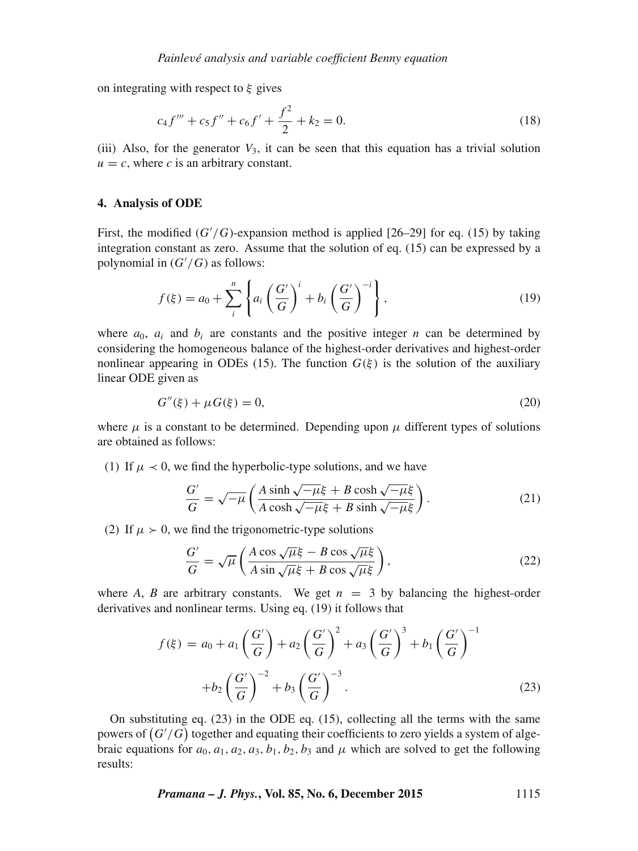on integrating with respect to  $\xi$  gives

$$
c_4 f''' + c_5 f'' + c_6 f' + \frac{f^2}{2} + k_2 = 0.
$$
\n(18)

(iii) Also, for the generator  $V_3$ , it can be seen that this equation has a trivial solution  $u = c$ , where *c* is an arbitrary constant.

#### **4. Analysis of ODE**

First, the modified  $(G'/G)$ -expansion method is applied [26–29] for eq. (15) by taking<br>integration constant as zero. Assume that the solution of eq. (15) can be expressed by a integration constant as zero. Assume that the solution of eq. (15) can be expressed by a polynomial in  $(G'/G)$  as follows:

$$
f(\xi) = a_0 + \sum_{i}^{n} \left\{ a_i \left( \frac{G'}{G} \right)^i + b_i \left( \frac{G'}{G} \right)^{-i} \right\},\tag{19}
$$

where  $a_0$ ,  $a_i$  and  $b_i$  are constants and the positive integer n can be determined by considering the homogeneous balance of the highest-order derivatives and highest-order nonlinear appearing in ODEs (15). The function  $G(\xi)$  is the solution of the auxiliary linear ODE given as

$$
G''(\xi) + \mu G(\xi) = 0,\t(20)
$$

where  $\mu$  is a constant to be determined. Depending upon  $\mu$  different types of solutions are obtained as follows:

(1) If  $\mu \prec 0$ , we find the hyperbolic-type solutions, and we have

$$
\frac{G'}{G} = \sqrt{-\mu} \left( \frac{A \sinh \sqrt{-\mu} \xi + B \cosh \sqrt{-\mu} \xi}{A \cosh \sqrt{-\mu} \xi + B \sinh \sqrt{-\mu} \xi} \right). \tag{21}
$$

(2) If  $\mu > 0$ , we find the trigonometric-type solutions

$$
\frac{G'}{G} = \sqrt{\mu} \left( \frac{A \cos \sqrt{\mu} \xi - B \cos \sqrt{\mu} \xi}{A \sin \sqrt{\mu} \xi + B \cos \sqrt{\mu} \xi} \right),\tag{22}
$$

where *A*, *B* are arbitrary constants. We get  $n = 3$  by balancing the highest-order derivatives and nonlinear terms. Using eq. (19) it follows that

$$
f(\xi) = a_0 + a_1 \left(\frac{G'}{G}\right) + a_2 \left(\frac{G'}{G}\right)^2 + a_3 \left(\frac{G'}{G}\right)^3 + b_1 \left(\frac{G'}{G}\right)^{-1} + b_2 \left(\frac{G'}{G}\right)^{-2} + b_3 \left(\frac{G'}{G}\right)^{-3}.
$$
 (23)

On substituting eq. (23) in the ODE eq. (15), collecting all the terms with the same powers of  $(G'/G)$  together and equating their coefficients to zero yields a system of alge-<br>braic equations for  $a_2, a_3, a_2, b_1, b_2, b_3$  and  $\mu$  which are solved to get the following braic equations for  $a_0$ ,  $a_1$ ,  $a_2$ ,  $a_3$ ,  $b_1$ ,  $b_2$ ,  $b_3$  and  $\mu$  which are solved to get the following results:

*Pramana – J. Phys.***, Vol. 85, No. 6, December 2015** 1115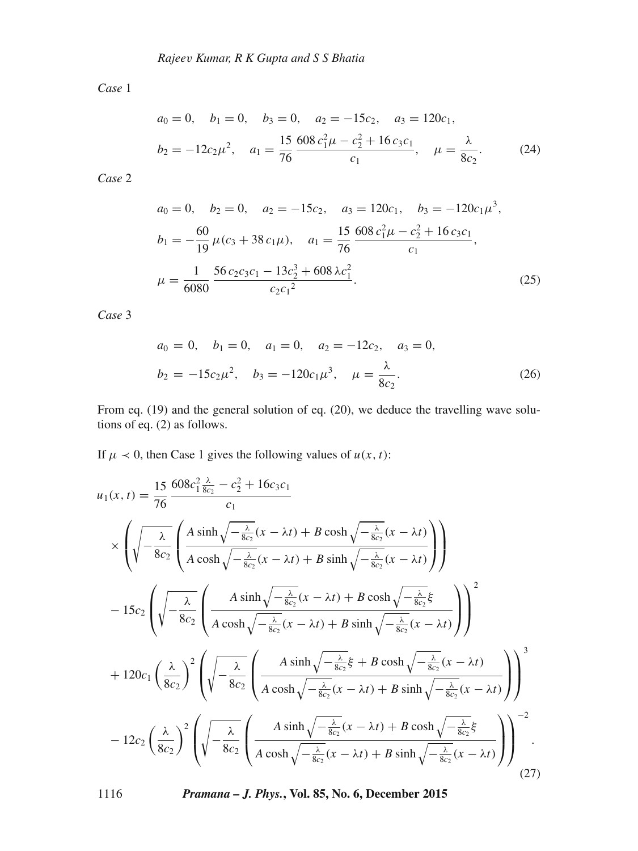*Case* 1

$$
a_0 = 0, \quad b_1 = 0, \quad b_3 = 0, \quad a_2 = -15c_2, \quad a_3 = 120c_1,
$$
  

$$
b_2 = -12c_2\mu^2, \quad a_1 = \frac{15}{76} \frac{608 c_1^2 \mu - c_2^2 + 16 c_3 c_1}{c_1}, \quad \mu = \frac{\lambda}{8c_2}.
$$
 (24)

*Case* 2

$$
a_0 = 0, \quad b_2 = 0, \quad a_2 = -15c_2, \quad a_3 = 120c_1, \quad b_3 = -120c_1\mu^3,
$$
  
\n
$$
b_1 = -\frac{60}{19}\mu(c_3 + 38c_1\mu), \quad a_1 = \frac{15}{76}\frac{608c_1^2\mu - c_2^2 + 16c_3c_1}{c_1},
$$
  
\n
$$
\mu = \frac{1}{6080}\frac{56c_2c_3c_1 - 13c_2^3 + 608\lambda c_1^2}{c_2c_1^2}.
$$
\n(25)

*Case* 3

$$
a_0 = 0
$$
,  $b_1 = 0$ ,  $a_1 = 0$ ,  $a_2 = -12c_2$ ,  $a_3 = 0$ ,  
\n $b_2 = -15c_2\mu^2$ ,  $b_3 = -120c_1\mu^3$ ,  $\mu = \frac{\lambda}{8c_2}$ . (26)

From eq. (19) and the general solution of eq. (20), we deduce the travelling wave solutions of eq. (2) as follows.

If  $\mu \prec 0$ , then Case 1 gives the following values of  $u(x, t)$ :

$$
u_1(x,t) = \frac{15}{76} \frac{608c_1^2 \frac{\lambda}{8c_2} - c_2^2 + 16c_3c_1}{c_1}
$$
  
\n
$$
\times \left( \sqrt{-\frac{\lambda}{8c_2}} \left( \frac{A \sinh \sqrt{-\frac{\lambda}{8c_2}}(x - \lambda t) + B \cosh \sqrt{-\frac{\lambda}{8c_2}}(x - \lambda t)}{A \cosh \sqrt{-\frac{\lambda}{8c_2}}(x - \lambda t) + B \sinh \sqrt{-\frac{\lambda}{8c_2}}(x - \lambda t)} \right) \right)
$$
  
\n
$$
- 15c_2 \left( \sqrt{-\frac{\lambda}{8c_2}} \left( \frac{A \sinh \sqrt{-\frac{\lambda}{8c_2}}(x - \lambda t) + B \cosh \sqrt{-\frac{\lambda}{8c_2}}(x - \lambda t)}{A \cosh \sqrt{-\frac{\lambda}{8c_2}}(x - \lambda t) + B \sinh \sqrt{-\frac{\lambda}{8c_2}}(x - \lambda t)} \right) \right)^2
$$
  
\n
$$
+ 120c_1 \left( \frac{\lambda}{8c_2} \right)^2 \left( \sqrt{-\frac{\lambda}{8c_2}} \left( \frac{A \sinh \sqrt{-\frac{\lambda}{8c_2}}\xi + B \cosh \sqrt{-\frac{\lambda}{8c_2}}(x - \lambda t)}{A \cosh \sqrt{-\frac{\lambda}{8c_2}}(x - \lambda t) + B \sinh \sqrt{-\frac{\lambda}{8c_2}}(x - \lambda t)} \right) \right)^3
$$
  
\n
$$
- 12c_2 \left( \frac{\lambda}{8c_2} \right)^2 \left( \sqrt{-\frac{\lambda}{8c_2}} \left( \frac{A \sinh \sqrt{-\frac{\lambda}{8c_2}}(x - \lambda t) + B \cosh \sqrt{-\frac{\lambda}{8c_2}}(x - \lambda t)}{A \cosh \sqrt{-\frac{\lambda}{8c_2}}(x - \lambda t) + B \sinh \sqrt{-\frac{\lambda}{8c_2}}(x - \lambda t)} \right) \right)^{-2}.
$$
  
\n(27)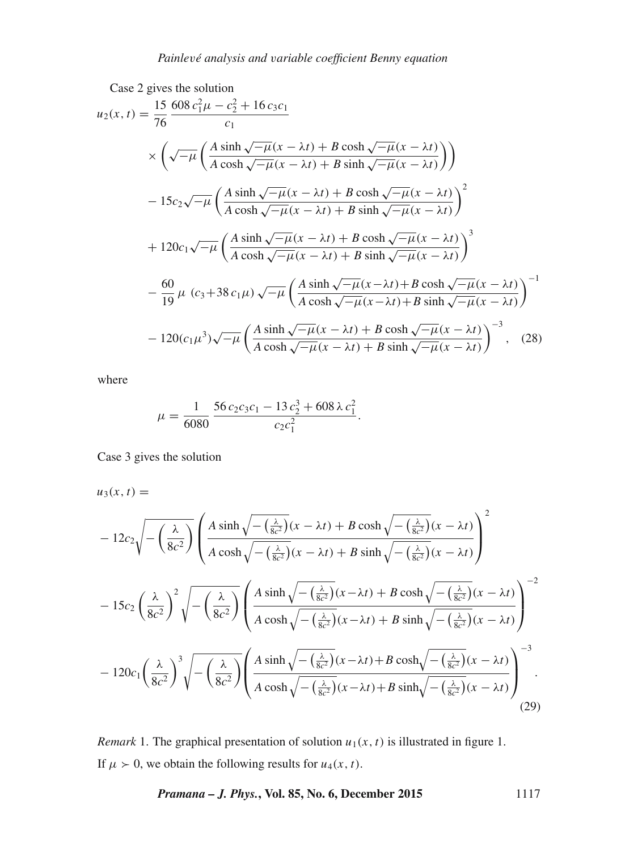Case 2 gives the solution  
\n
$$
u_2(x, t) = \frac{15}{76} \frac{608 c_1^2 \mu - c_2^2 + 16 c_3 c_1}{c_1}
$$
\n
$$
\times \left( \sqrt{-\mu} \left( \frac{A \sinh \sqrt{-\mu} (x - \lambda t) + B \cosh \sqrt{-\mu} (x - \lambda t)}{A \cosh \sqrt{-\mu} (x - \lambda t) + B \sinh \sqrt{-\mu} (x - \lambda t)} \right) \right)
$$
\n
$$
- 15c_2 \sqrt{-\mu} \left( \frac{A \sinh \sqrt{-\mu} (x - \lambda t) + B \cosh \sqrt{-\mu} (x - \lambda t)}{A \cosh \sqrt{-\mu} (x - \lambda t) + B \sinh \sqrt{-\mu} (x - \lambda t)} \right)^2
$$
\n
$$
+ 120c_1 \sqrt{-\mu} \left( \frac{A \sinh \sqrt{-\mu} (x - \lambda t) + B \cosh \sqrt{-\mu} (x - \lambda t)}{A \cosh \sqrt{-\mu} (x - \lambda t) + B \sinh \sqrt{-\mu} (x - \lambda t)} \right)^3
$$
\n
$$
- \frac{60}{19} \mu (c_3 + 38 c_1 \mu) \sqrt{-\mu} \left( \frac{A \sinh \sqrt{-\mu} (x - \lambda t) + B \cosh \sqrt{-\mu} (x - \lambda t)}{A \cosh \sqrt{-\mu} (x - \lambda t) + B \sinh \sqrt{-\mu} (x - \lambda t)} \right)^{-1}
$$
\n
$$
- 120(c_1 \mu^3) \sqrt{-\mu} \left( \frac{A \sinh \sqrt{-\mu} (x - \lambda t) + B \cosh \sqrt{-\mu} (x - \lambda t)}{A \cosh \sqrt{-\mu} (x - \lambda t) + B \sinh \sqrt{-\mu} (x - \lambda t)} \right)^{-3}, \quad (28)
$$

where

$$
\mu = \frac{1}{6080} \frac{56 c_2 c_3 c_1 - 13 c_2^3 + 608 \lambda c_1^2}{c_2 c_1^2}
$$

Case 3 gives the solution

$$
u_3(x,t)=
$$

$$
-12c_2\sqrt{-\left(\frac{\lambda}{8c^2}\right)}\left(\frac{A\sinh\sqrt{-\left(\frac{\lambda}{8c^2}\right)}(x-\lambda t)+B\cosh\sqrt{-\left(\frac{\lambda}{8c^2}\right)}(x-\lambda t)}{A\cosh\sqrt{-\left(\frac{\lambda}{8c^2}\right)}(x-\lambda t)+B\sinh\sqrt{-\left(\frac{\lambda}{8c^2}\right)}(x-\lambda t)}\right)^2
$$

$$
-15c_2\left(\frac{\lambda}{8c^2}\right)^2\sqrt{-\left(\frac{\lambda}{8c^2}\right)}\left(\frac{A\sinh\sqrt{-\left(\frac{\lambda}{8c^2}\right)}(x-\lambda t)+B\cosh\sqrt{-\left(\frac{\lambda}{8c^2}\right)}(x-\lambda t)}{A\cosh\sqrt{-\left(\frac{\lambda}{8c^2}\right)}(x-\lambda t)+B\sinh\sqrt{-\left(\frac{\lambda}{8c^2}\right)}(x-\lambda t)}\right)^{-2}
$$

$$
-120c_1\left(\frac{\lambda}{8c^2}\right)^3\sqrt{-\left(\frac{\lambda}{8c^2}\right)}\left(\frac{A\sinh\sqrt{-\left(\frac{\lambda}{8c^2}\right)}(x-\lambda t)+B\cosh\sqrt{-\left(\frac{\lambda}{8c^2}\right)}(x-\lambda t)}{A\cosh\sqrt{-\left(\frac{\lambda}{8c^2}\right)}(x-\lambda t)+B\sinh\sqrt{-\left(\frac{\lambda}{8c^2}\right)}(x-\lambda t)}\right)^{-3}.
$$
(29)

*Remark* 1. The graphical presentation of solution  $u_1(x, t)$  is illustrated in figure 1. If  $\mu > 0$ , we obtain the following results for  $u_4(x, t)$ .

*Pramana – J. Phys.***, Vol. 85, No. 6, December 2015** 1117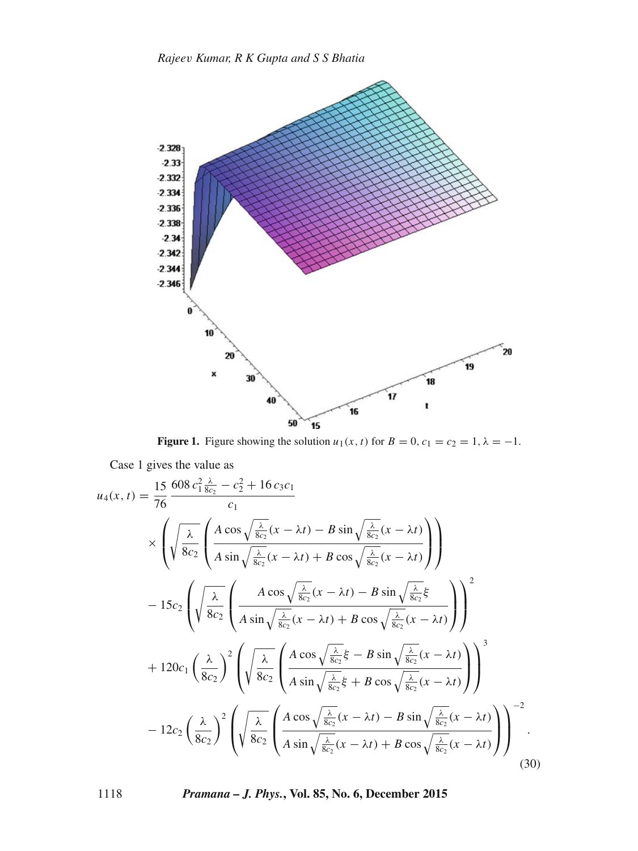

**Figure 1.** Figure showing the solution  $u_1(x, t)$  for  $B = 0$ ,  $c_1 = c_2 = 1$ ,  $\lambda = -1$ .

Case 1 gives the value as

$$
u_4(x,t) = \frac{15}{76} \frac{608 c_1^2 \frac{\lambda}{8c_2} - c_2^2 + 16 c_3 c_1}{c_1}
$$
  
\n
$$
\times \left( \sqrt{\frac{\lambda}{8c_2}} \left( \frac{A \cos \sqrt{\frac{\lambda}{8c_2}} (x - \lambda t) - B \sin \sqrt{\frac{\lambda}{8c_2}} (x - \lambda t)}{A \sin \sqrt{\frac{\lambda}{8c_2}} (x - \lambda t) + B \cos \sqrt{\frac{\lambda}{8c_2}} (x - \lambda t)} \right) \right)
$$
  
\n
$$
- 15c_2 \left( \sqrt{\frac{\lambda}{8c_2}} \left( \frac{A \cos \sqrt{\frac{\lambda}{8c_2}} (x - \lambda t) - B \sin \sqrt{\frac{\lambda}{8c_2}} \xi}{A \sin \sqrt{\frac{\lambda}{8c_2}} (x - \lambda t) + B \cos \sqrt{\frac{\lambda}{8c_2}} (x - \lambda t)} \right) \right)^2
$$
  
\n
$$
+ 120c_1 \left( \frac{\lambda}{8c_2} \right)^2 \left( \sqrt{\frac{\lambda}{8c_2}} \left( \frac{A \cos \sqrt{\frac{\lambda}{8c_2}} \xi - B \sin \sqrt{\frac{\lambda}{8c_2}} (x - \lambda t)}{A \sin \sqrt{\frac{\lambda}{8c_2}} \xi + B \cos \sqrt{\frac{\lambda}{8c_2}} (x - \lambda t)} \right) \right)^3
$$
  
\n
$$
- 12c_2 \left( \frac{\lambda}{8c_2} \right)^2 \left( \sqrt{\frac{\lambda}{8c_2}} \left( \frac{A \cos \sqrt{\frac{\lambda}{8c_2}} (x - \lambda t) - B \sin \sqrt{\frac{\lambda}{8c_2}} (x - \lambda t)}{A \sin \sqrt{\frac{\lambda}{8c_2}} (x - \lambda t) + B \cos \sqrt{\frac{\lambda}{8c_2}} (x - \lambda t)} \right) \right)^{-2}.
$$
  
\n(30)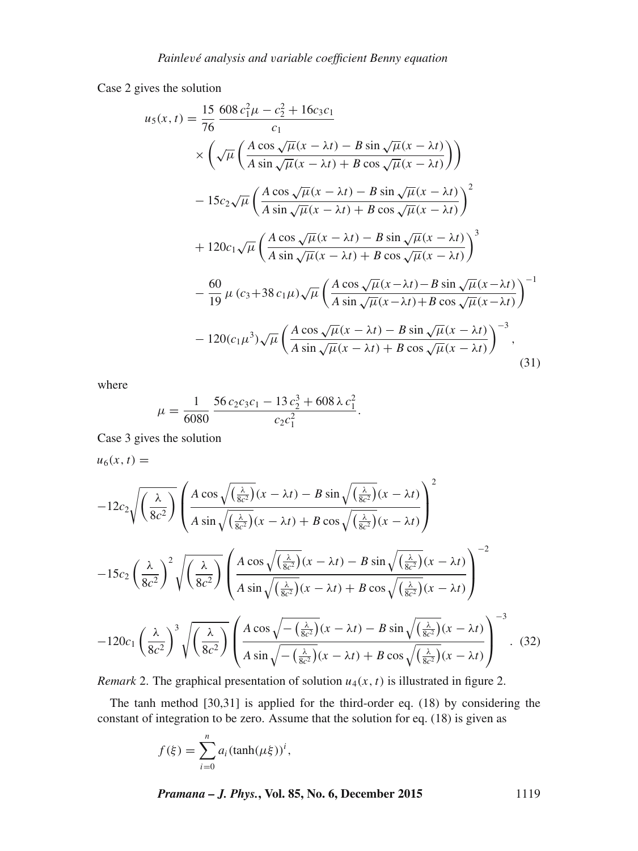Case 2 gives the solution

$$
u_5(x,t) = \frac{15}{76} \frac{608 c_1^2 \mu - c_2^2 + 16c_3 c_1}{c_1}
$$
  
\n
$$
\times \left( \sqrt{\mu} \left( \frac{A \cos \sqrt{\mu} (x - \lambda t) - B \sin \sqrt{\mu} (x - \lambda t)}{A \sin \sqrt{\mu} (x - \lambda t) + B \cos \sqrt{\mu} (x - \lambda t)} \right) \right)
$$
  
\n
$$
- 15c_2 \sqrt{\mu} \left( \frac{A \cos \sqrt{\mu} (x - \lambda t) - B \sin \sqrt{\mu} (x - \lambda t)}{A \sin \sqrt{\mu} (x - \lambda t) + B \cos \sqrt{\mu} (x - \lambda t)} \right)^2
$$
  
\n
$$
+ 120c_1 \sqrt{\mu} \left( \frac{A \cos \sqrt{\mu} (x - \lambda t) - B \sin \sqrt{\mu} (x - \lambda t)}{A \sin \sqrt{\mu} (x - \lambda t) + B \cos \sqrt{\mu} (x - \lambda t)} \right)^3
$$
  
\n
$$
- \frac{60}{19} \mu (c_3 + 38 c_1 \mu) \sqrt{\mu} \left( \frac{A \cos \sqrt{\mu} (x - \lambda t) - B \sin \sqrt{\mu} (x - \lambda t)}{A \sin \sqrt{\mu} (x - \lambda t) + B \cos \sqrt{\mu} (x - \lambda t)} \right)^{-1}
$$
  
\n
$$
- 120(c_1 \mu^3) \sqrt{\mu} \left( \frac{A \cos \sqrt{\mu} (x - \lambda t) - B \sin \sqrt{\mu} (x - \lambda t)}{A \sin \sqrt{\mu} (x - \lambda t) + B \cos \sqrt{\mu} (x - \lambda t)} \right)^{-3},
$$
  
\n(31)

where

$$
\mu = \frac{1}{6080} \frac{56 c_2 c_3 c_1 - 13 c_2^3 + 608 \lambda c_1^2}{c_2 c_1^2}
$$

Case 3 gives the solution

 $u_6(x, t) =$ 

$$
-12c_2\sqrt{\left(\frac{\lambda}{8c^2}\right)}\left(\frac{A\cos\sqrt{\left(\frac{\lambda}{8c^2}\right)}(x-\lambda t)-B\sin\sqrt{\left(\frac{\lambda}{8c^2}\right)}(x-\lambda t)}{A\sin\sqrt{\left(\frac{\lambda}{8c^2}\right)}(x-\lambda t)+B\cos\sqrt{\left(\frac{\lambda}{8c^2}\right)}(x-\lambda t)}\right)^2
$$

$$
-15c_2\left(\frac{\lambda}{8c^2}\right)^2\sqrt{\left(\frac{\lambda}{8c^2}\right)}\left(\frac{A\cos\sqrt{\left(\frac{\lambda}{8c^2}\right)}(x-\lambda t)-B\sin\sqrt{\left(\frac{\lambda}{8c^2}\right)}(x-\lambda t)}{A\sin\sqrt{\left(\frac{\lambda}{8c^2}\right)}(x-\lambda t)+B\cos\sqrt{\left(\frac{\lambda}{8c^2}\right)}(x-\lambda t)}\right)^{-2}
$$

$$
-120c_1\left(\frac{\lambda}{8c^2}\right)^3\sqrt{\left(\frac{\lambda}{8c^2}\right)}\left(\frac{A\cos\sqrt{-\left(\frac{\lambda}{8c^2}\right)}(x-\lambda t)-B\sin\sqrt{\left(\frac{\lambda}{8c^2}\right)}(x-\lambda t)}{A\sin\sqrt{-\left(\frac{\lambda}{8c^2}\right)}(x-\lambda t)+B\cos\sqrt{\left(\frac{\lambda}{8c^2}\right)}(x-\lambda t)}\right)^{-3}.
$$
(32)

*Remark* 2. The graphical presentation of solution  $u_4(x, t)$  is illustrated in figure 2.

The tanh method [30,31] is applied for the third-order eq. (18) by considering the constant of integration to be zero. Assume that the solution for eq. (18) is given as

$$
f(\xi) = \sum_{i=0}^{n} a_i (\tanh(\mu \xi))^i,
$$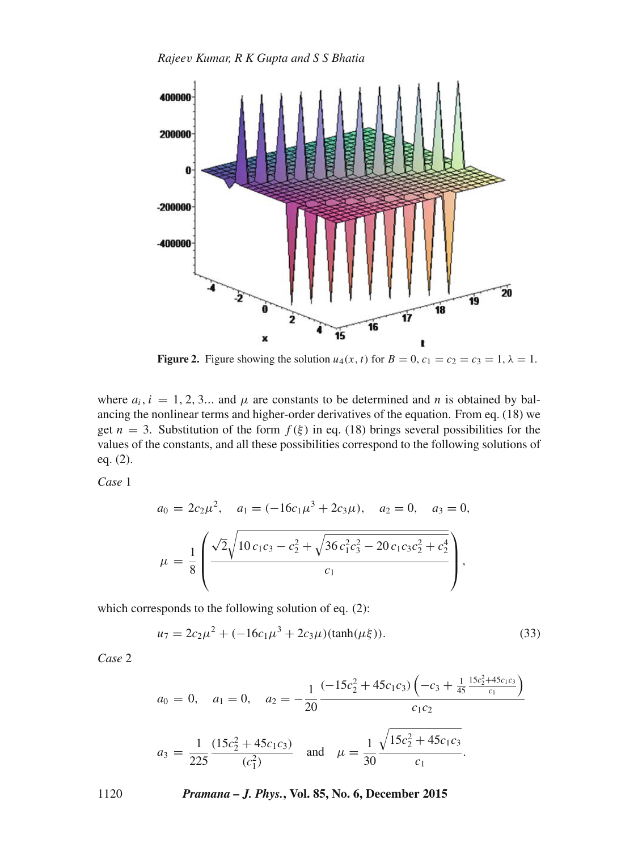

**Figure 2.** Figure showing the solution  $u_4(x, t)$  for  $B = 0$ ,  $c_1 = c_2 = c_3 = 1$ ,  $\lambda = 1$ .

where  $a_i$ ,  $i = 1, 2, 3...$  and  $\mu$  are constants to be determined and n is obtained by balancing the nonlinear terms and higher-order derivatives of the equation. From eq. (18) we get  $n = 3$ . Substitution of the form  $f(\xi)$  in eq. (18) brings several possibilities for the values of the constants, and all these possibilities correspond to the following solutions of eq. (2).

*Case* 1

$$
a_0 = 2c_2\mu^2, \quad a_1 = (-16c_1\mu^3 + 2c_3\mu), \quad a_2 = 0, \quad a_3 = 0,
$$
  

$$
\mu = \frac{1}{8} \left( \frac{\sqrt{2}\sqrt{10c_1c_3 - c_2^2} + \sqrt{36c_1^2c_3^2 - 20c_1c_3c_2^2 + c_2^4}}{c_1} \right),
$$

which corresponds to the following solution of eq. (2):

$$
u_7 = 2c_2\mu^2 + (-16c_1\mu^3 + 2c_3\mu)(\tanh(\mu\xi)).
$$
\n(33)

*Case* 2

$$
a_0 = 0, \quad a_1 = 0, \quad a_2 = -\frac{1}{20} \frac{(-15c_2^2 + 45c_1c_3)\left(-c_3 + \frac{1}{45}\frac{15c_2^2 + 45c_1c_3}{c_1}\right)}{c_1c_2}
$$
\n
$$
a_3 = \frac{1}{225} \frac{(15c_2^2 + 45c_1c_3)}{(c_1^2)} \quad \text{and} \quad \mu = \frac{1}{30} \frac{\sqrt{15c_2^2 + 45c_1c_3}}{c_1}.
$$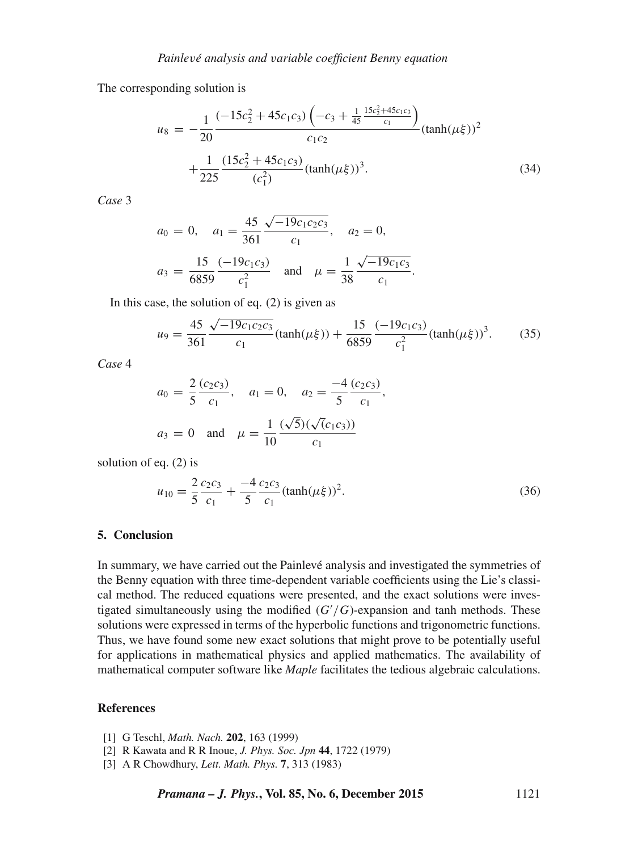The corresponding solution is

$$
u_8 = -\frac{1}{20} \frac{(-15c_2^2 + 45c_1c_3) \left(-c_3 + \frac{1}{45} \frac{15c_2^2 + 45c_1c_3}{c_1}\right)}{c_1c_2} (\tanh(\mu\xi))^2 + \frac{1}{225} \frac{(15c_2^2 + 45c_1c_3)}{(c_1^2)} (\tanh(\mu\xi))^3.
$$
 (34)

*Case* 3

$$
a_0 = 0
$$
,  $a_1 = \frac{45}{361} \frac{\sqrt{-19c_1c_2c_3}}{c_1}$ ,  $a_2 = 0$ ,  
 $a_3 = \frac{15}{6859} \frac{(-19c_1c_3)}{c_1^2}$  and  $\mu = \frac{1}{38} \frac{\sqrt{-19c_1c_3}}{c_1}$ .

In this case, the solution of eq. (2) is given as

$$
u_9 = \frac{45}{361} \frac{\sqrt{-19c_1c_2c_3}}{c_1} (\tanh(\mu\xi)) + \frac{15}{6859} \frac{(-19c_1c_3)}{c_1^2} (\tanh(\mu\xi))^3.
$$
 (35)

*Case* 4

$$
a_0 = \frac{2}{5} \frac{(c_2 c_3)}{c_1}, \quad a_1 = 0, \quad a_2 = \frac{-4}{5} \frac{(c_2 c_3)}{c_1},
$$
  

$$
a_3 = 0 \quad \text{and} \quad \mu = \frac{1}{10} \frac{(\sqrt{5})(\sqrt{(c_1 c_3)})}{c_1}
$$

solution of eq. (2) is

$$
u_{10} = \frac{2}{5} \frac{c_2 c_3}{c_1} + \frac{-4}{5} \frac{c_2 c_3}{c_1} (\tanh(\mu \xi))^2.
$$
 (36)

## **5. Conclusion**

In summary, we have carried out the Painlevé analysis and investigated the symmetries of the Benny equation with three time-dependent variable coefficients using the Lie's classical method. The reduced equations were presented, and the exact solutions were investigated simultaneously using the modified  $(G'/G)$ -expansion and tanh methods. These solutions were expressed in terms of the hyperbolic functions and trigonometric functions solutions were expressed in terms of the hyperbolic functions and trigonometric functions. Thus, we have found some new exact solutions that might prove to be potentially useful for applications in mathematical physics and applied mathematics. The availability of mathematical computer software like *Maple* facilitates the tedious algebraic calculations.

# **References**

- [1] G Teschl, *Math. Nach.* **202**, 163 (1999)
- [2] R Kawata and R R Inoue, *J. Phys. Soc. Jpn* **44**, 1722 (1979)
- [3] A R Chowdhury, *Lett. Math. Phys.* **7**, 313 (1983)